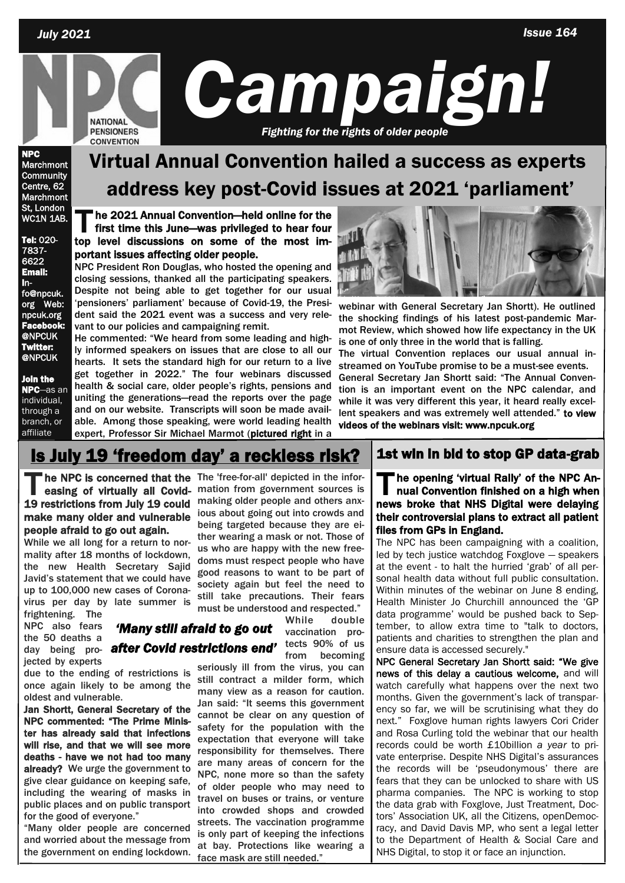

NPC Marchmont **Community** Centre, 62 Marchmont St, London WC1N 1AB.

#### Tel: 020- 7837- 6622 Email: info@npcuk. org Web: npcuk.org Facebook @NPCUK Twitter:

Join the NPC—as an individual, through a branch, or affiliate

**@NPCUK** 

# Virtual Annual Convention hailed a success as experts address key post-Covid issues at 2021 'parliament'

**T** he 2021 Annual Convention—held online for the first time this June—was privileged to hear four top level discussions on some of the most important issues affecting older people.

NPC President Ron Douglas, who hosted the opening and closing sessions, thanked all the participating speakers. Despite not being able to get together for our usual 'pensioners' parliament' because of Covid-19, the President said the 2021 event was a success and very relevant to our policies and campaigning remit.

He commented: "We heard from some leading and highly informed speakers on issues that are close to all our hearts. It sets the standard high for our return to a live get together in 2022." The four webinars discussed health & social care, older people's rights, pensions and uniting the generations—read the reports over the page and on our website. Transcripts will soon be made available. Among those speaking, were world leading health expert, Professor Sir Michael Marmot (pictured right in a



webinar with General Secretary Jan Shortt). He outlined the shocking findings of his latest post-pandemic Marmot Review, which showed how life expectancy in the UK is one of only three in the world that is falling.

The virtual Convention replaces our usual annual instreamed on YouTube promise to be a must-see events. General Secretary Jan Shortt said: "The Annual Convention is an important event on the NPC calendar, and while it was very different this year, it heard really excellent speakers and was extremely well attended." to view videos of the webinars visit: www.npcuk.org

## 1s July 19 'freedom day' a reckless risk?  $\vert$  1st win in bid to stop GP data-grab

*'Many still afraid to go out* 

make many older and vulnerable people afraid to go out again.

While we all long for a return to normality after 18 months of lockdown, the new Health Secretary Sajid Javid's statement that we could have up to 100,000 new cases of Coronavirus per day by late summer is frightening. The

NPC also fears the 50 deaths a day being pro-*after Covid restrictions end'* jected by experts

due to the ending of restrictions is once again likely to be among the oldest and vulnerable.

Jan Shortt, General Secretary of the NPC commented: "The Prime Minister has already said that infections will rise, and that we will see more deaths - have we not had too many already? We urge the government to give clear guidance on keeping safe, including the wearing of masks in public places and on public transport for the good of everyone."

"Many older people are concerned and worried about the message from the government on ending lockdown.

The NPC is concerned that the The 'free-for-all' depicted in the infor-<br>
easing of virtually all Covid-<br>
19 restrictions from July 19 could making older people and others anxhe NPC is concerned that the The 'free-for-all' depicted in the inforeasing of virtually all Covid- mation from government sources is ious about going out into crowds and being targeted because they are either wearing a mask or not. Those of us who are happy with the new freedoms must respect people who have good reasons to want to be part of society again but feel the need to still take precautions. Their fears must be understood and respected."

> While double vaccination protects 90% of us from becoming

seriously ill from the virus, you can still contract a milder form, which many view as a reason for caution. Jan said: "It seems this government cannot be clear on any question of safety for the population with the expectation that everyone will take responsibility for themselves. There are many areas of concern for the NPC, none more so than the safety of older people who may need to travel on buses or trains, or venture into crowded shops and crowded streets. The vaccination programme is only part of keeping the infections at bay. Protections like wearing a face mask are still needed."

**T** he opening 'virtual Rally' of the NPC Annual Convention finished on a high when news broke that NHS Digital were delaying their controversial plans to extract all patient files from GPs in England.

The NPC has been campaigning with a coalition, led by tech justice watchdog Foxglove — speakers at the event - to halt the hurried 'grab' of all personal health data without full public consultation. Within minutes of the webinar on June 8 ending, Health Minister Jo Churchill announced the 'GP data programme' would be pushed back to September, to allow extra time to "talk to doctors, patients and charities to strengthen the plan and ensure data is accessed securely."

NPC General Secretary Jan Shortt said: "We give news of this delay a cautious welcome, and will watch carefully what happens over the next two months. Given the government's lack of transparency so far, we will be scrutinising what they do next." Foxglove human rights lawyers Cori Crider and Rosa Curling told the webinar that our health records could be worth £10billion *a year* to private enterprise. Despite NHS Digital's assurances the records will be 'pseudonymous' there are fears that they can be unlocked to share with US pharma companies. The NPC is working to stop the data grab with Foxglove, Just Treatment, Doctors' Association UK, all the Citizens, openDemocracy, and David Davis MP, who sent a legal letter to the Department of Health & Social Care and NHS Digital, to stop it or face an injunction.